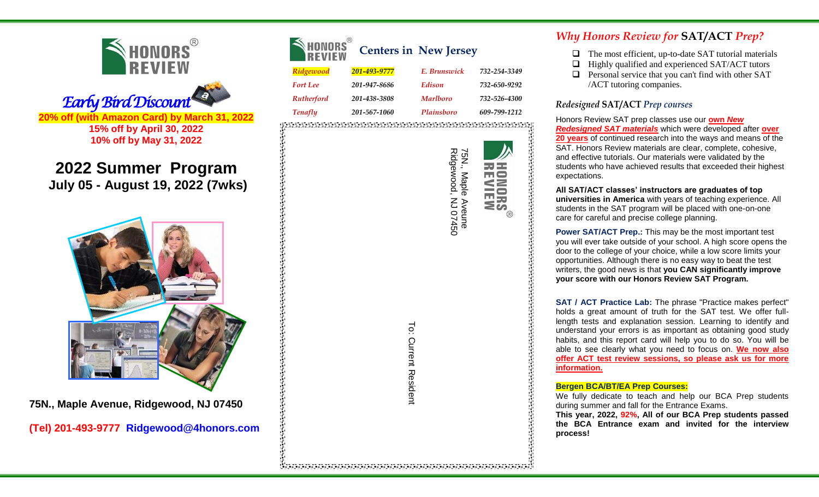



**2022 Summer Program July 05 - August 19, 2022 (7wks)**



**75N., Maple Avenue, Ridgewood, NJ 07450**

**(Tel) 201-493-9777 [Ridgewood@4honors.com](mailto:fortlee@4honors.com)**

| NONORS<br><b>REVIEW</b> |              | <b>Centers in New Jersey</b> |              |
|-------------------------|--------------|------------------------------|--------------|
| Ridgewood               | 201-493-9777 | E. Brunswick                 | 732-254-3349 |
| <b>Fort Lee</b>         | 201-947-8686 | Edison                       | 732-650-9292 |
| <b>Rutherford</b>       | 201-438-3808 | <b>Marlboro</b>              | 732-526-4300 |
| <b>Tenafly</b>          | 201-567-1060 | Plainsboro                   | 609-799-1212 |
|                         |              |                              |              |

75N., Maple Aveune<br>Ridgewood, NJ 07450 75N., Maple Aveune Ridgewood, NJ 07450 **ORS**  . The construction of the construction of the construction of the construction of the construction of the construction of the construction of the construction of the construction of the construction of the construction of

To: Current Resident To: Current Resident

i de concerto de construído de concerto de concerto de concerto de concerto de concerto de concerto de concert<br>Las de concertos de concertos de concertos de concertos de concertos de concertos de concertos de concertos de

# *Why Honors Review for* **SAT/ACT** *Prep?*

- $\Box$  The most efficient, up-to-date [SAT tutorial](http://www.klasstutoring.com/materials.htm) materials
- $\Box$  Highly qualified and experienced SAT/ACT [tutors](http://www.klasstutoring.com/tutors.htm)
- $\Box$  Personal service that you can't find with other SAT /ACT tutoring companies.

# *Redesigned* **SAT/ACT** *Prep courses*

Honors Review SAT prep classes use our **own** *New Redesigned SAT materials* which were developed after **over 20 years** of continued research into the ways and means of the SAT. Honors Review materials are clear, complete, cohesive, and effective tutorials. Our materials were validated by the students who have achieved results that exceeded their highest expectations.

**All SAT/ACT classes' instructors are graduates of top universities in America** with years of teaching experience. All students in the SAT program will be placed with one-on-one care for careful and precise college planning.

**Power SAT/ACT Prep.:** This may be the most important test you will ever take outside of your school. A high score opens the door to the college of your choice, while a low score limits your opportunities. Although there is no easy way to beat the test writers, the good news is that **you CAN significantly improve your score with our Honors Review SAT Program.**

**SAT / ACT Practice Lab:** The phrase "Practice makes perfect" holds a great amount of truth for the SAT test. We offer fulllength tests and explanation session. Learning to identify and understand your errors is as important as obtaining good study habits, and this report card will help you to do so. You will be able to see clearly what you need to focus on. **We now also offer ACT test review sessions, so please ask us for more information.**

### **Bergen BCA/BT/EA Prep Courses:**

We fully dedicate to teach and help our BCA Prep students during summer and fall for the Entrance Exams.

**This year, 2022, 92%, All of our BCA Prep students passed the BCA Entrance exam and invited for the interview process!**